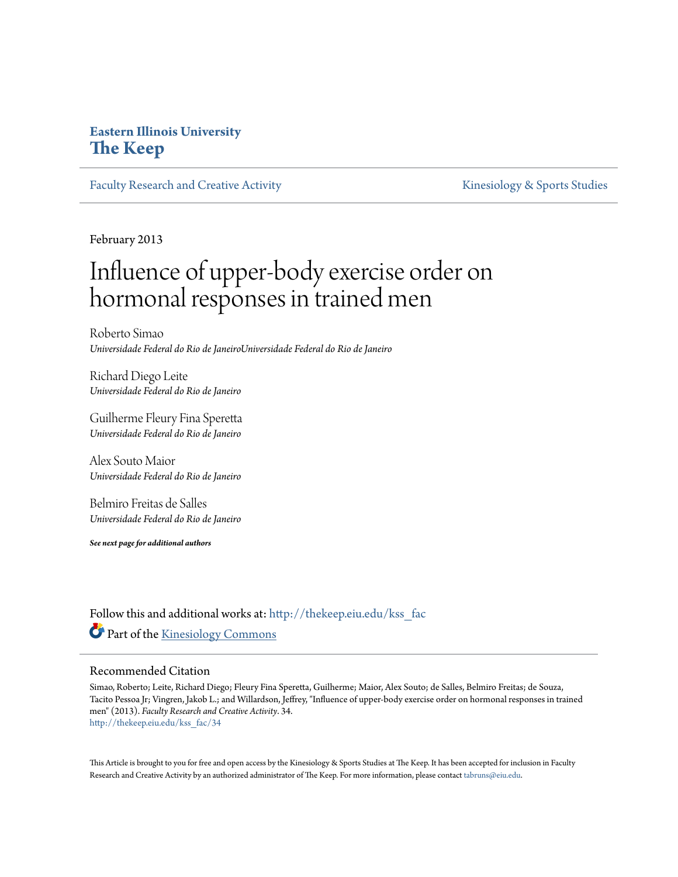# **Eastern Illinois University [The Keep](http://thekeep.eiu.edu?utm_source=thekeep.eiu.edu%2Fkss_fac%2F34&utm_medium=PDF&utm_campaign=PDFCoverPages)**

[Faculty Research and Creative Activity](http://thekeep.eiu.edu/kss_fac?utm_source=thekeep.eiu.edu%2Fkss_fac%2F34&utm_medium=PDF&utm_campaign=PDFCoverPages) [Kinesiology & Sports Studies](http://thekeep.eiu.edu/kss?utm_source=thekeep.eiu.edu%2Fkss_fac%2F34&utm_medium=PDF&utm_campaign=PDFCoverPages)

February 2013

# Influence of upper-body exercise order on hormonal responses in trained men

Roberto Simao *Universidade Federal do Rio de JaneiroUniversidade Federal do Rio de Janeiro*

Richard Diego Leite *Universidade Federal do Rio de Janeiro*

Guilherme Fleury Fina Speretta *Universidade Federal do Rio de Janeiro*

Alex Souto Maior *Universidade Federal do Rio de Janeiro*

Belmiro Freitas de Salles *Universidade Federal do Rio de Janeiro*

*See next page for additional authors*

Follow this and additional works at: [http://thekeep.eiu.edu/kss\\_fac](http://thekeep.eiu.edu/kss_fac?utm_source=thekeep.eiu.edu%2Fkss_fac%2F34&utm_medium=PDF&utm_campaign=PDFCoverPages) Part of the [Kinesiology Commons](http://network.bepress.com/hgg/discipline/42?utm_source=thekeep.eiu.edu%2Fkss_fac%2F34&utm_medium=PDF&utm_campaign=PDFCoverPages)

#### Recommended Citation

Simao, Roberto; Leite, Richard Diego; Fleury Fina Speretta, Guilherme; Maior, Alex Souto; de Salles, Belmiro Freitas; de Souza, Tacito Pessoa Jr; Vingren, Jakob L.; and Willardson, Jeffrey, "Influence of upper-body exercise order on hormonal responses in trained men" (2013). *Faculty Research and Creative Activity*. 34. [http://thekeep.eiu.edu/kss\\_fac/34](http://thekeep.eiu.edu/kss_fac/34?utm_source=thekeep.eiu.edu%2Fkss_fac%2F34&utm_medium=PDF&utm_campaign=PDFCoverPages)

This Article is brought to you for free and open access by the Kinesiology & Sports Studies at The Keep. It has been accepted for inclusion in Faculty Research and Creative Activity by an authorized administrator of The Keep. For more information, please contact [tabruns@eiu.edu](mailto:tabruns@eiu.edu).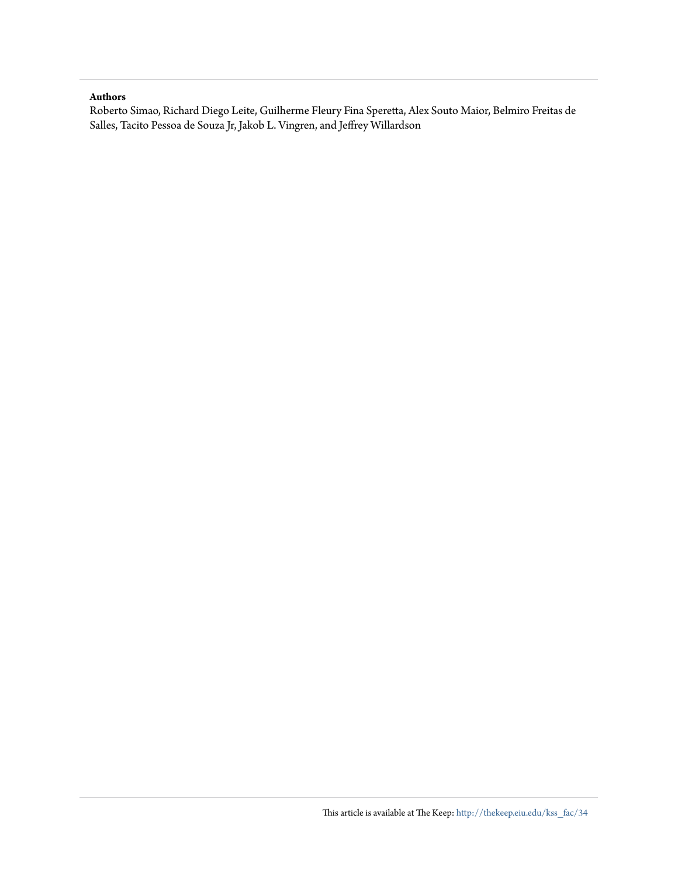#### **Authors**

Roberto Simao, Richard Diego Leite, Guilherme Fleury Fina Speretta, Alex Souto Maior, Belmiro Freitas de Salles, Tacito Pessoa de Souza Jr, Jakob L. Vingren, and Jeffrey Willardson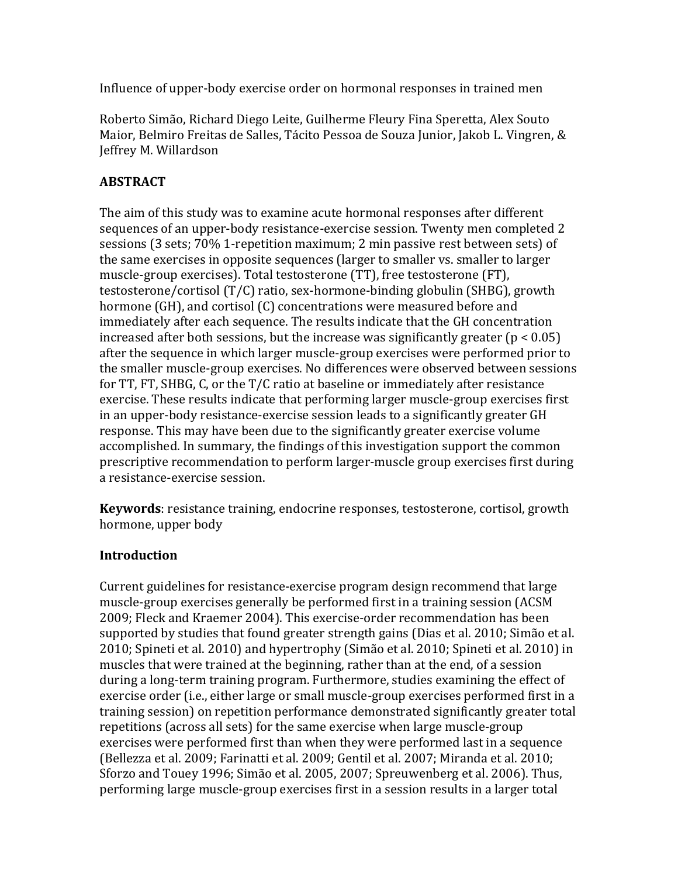Influence of upper-body exercise order on hormonal responses in trained men

Roberto Simão, Richard Diego Leite, Guilherme Fleury Fina Speretta, Alex Souto Maior, Belmiro Freitas de Salles, Tácito Pessoa de Souza Junior, Jakob L. Vingren, & Jeffrey M. Willardson

# **ABSTRACT**

The aim of this study was to examine acute hormonal responses after different sequences of an upper-body resistance-exercise session. Twenty men completed 2 sessions (3 sets;  $70\%$  1-repetition maximum; 2 min passive rest between sets) of the same exercises in opposite sequences (larger to smaller vs. smaller to larger muscle-group exercises). Total testosterone (TT), free testosterone (FT), testosterone/cortisol  $(T/C)$  ratio, sex-hormone-binding globulin (SHBG), growth hormone (GH), and cortisol (C) concentrations were measured before and immediately after each sequence. The results indicate that the GH concentration increased after both sessions, but the increase was significantly greater  $(p < 0.05)$ after the sequence in which larger muscle-group exercises were performed prior to the smaller muscle-group exercises. No differences were observed between sessions for  $TT$ ,  $FT$ ,  $SHBG$ ,  $C$ , or the  $T/C$  ratio at baseline or immediately after resistance exercise. These results indicate that performing larger muscle-group exercises first in an upper-body resistance-exercise session leads to a significantly greater GH response. This may have been due to the significantly greater exercise volume accomplished. In summary, the findings of this investigation support the common prescriptive recommendation to perform larger-muscle group exercises first during a resistance-exercise session.

**Keywords**: resistance training, endocrine responses, testosterone, cortisol, growth hormone, upper body

# **Introduction**

Current guidelines for resistance-exercise program design recommend that large muscle-group exercises generally be performed first in a training session (ACSM) 2009; Fleck and Kraemer 2004). This exercise-order recommendation has been supported by studies that found greater strength gains (Dias et al. 2010; Simão et al. 2010; Spineti et al. 2010) and hypertrophy (Simão et al. 2010; Spineti et al. 2010) in muscles that were trained at the beginning, rather than at the end, of a session during a long-term training program. Furthermore, studies examining the effect of exercise order (i.e., either large or small muscle-group exercises performed first in a training session) on repetition performance demonstrated significantly greater total repetitions (across all sets) for the same exercise when large muscle-group exercises were performed first than when they were performed last in a sequence (Bellezza et al. 2009; Farinatti et al. 2009; Gentil et al. 2007; Miranda et al. 2010; Sforzo and Touey 1996; Simão et al. 2005, 2007; Spreuwenberg et al. 2006). Thus, performing large muscle-group exercises first in a session results in a larger total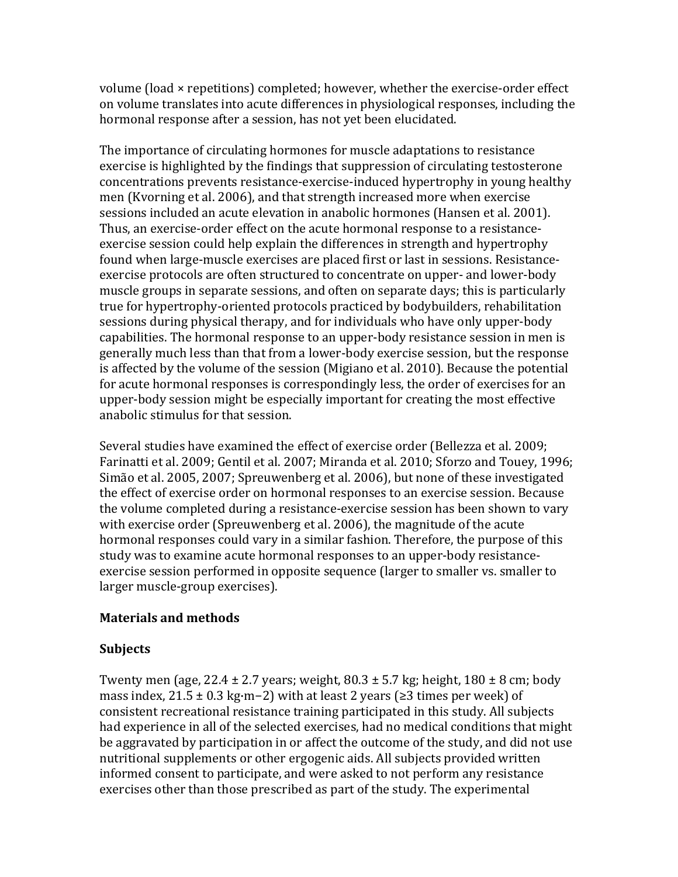volume (load × repetitions) completed; however, whether the exercise-order effect on volume translates into acute differences in physiological responses, including the hormonal response after a session, has not yet been elucidated.

The importance of circulating hormones for muscle adaptations to resistance exercise is highlighted by the findings that suppression of circulating testosterone concentrations prevents resistance-exercise-induced hypertrophy in young healthy men (Kvorning et al. 2006), and that strength increased more when exercise sessions included an acute elevation in anabolic hormones (Hansen et al. 2001). Thus, an exercise-order effect on the acute hormonal response to a resistanceexercise session could help explain the differences in strength and hypertrophy found when large-muscle exercises are placed first or last in sessions. Resistanceexercise protocols are often structured to concentrate on upper- and lower-body muscle groups in separate sessions, and often on separate days; this is particularly true for hypertrophy-oriented protocols practiced by bodybuilders, rehabilitation sessions during physical therapy, and for individuals who have only upper-body capabilities. The hormonal response to an upper-body resistance session in men is generally much less than that from a lower-body exercise session, but the response is affected by the volume of the session (Migiano et al. 2010). Because the potential for acute hormonal responses is correspondingly less, the order of exercises for an upper-body session might be especially important for creating the most effective anabolic stimulus for that session.

Several studies have examined the effect of exercise order (Bellezza et al. 2009; Farinatti et al. 2009; Gentil et al. 2007; Miranda et al. 2010; Sforzo and Touey, 1996; Simão et al. 2005, 2007; Spreuwenberg et al. 2006), but none of these investigated the effect of exercise order on hormonal responses to an exercise session. Because the volume completed during a resistance-exercise session has been shown to vary with exercise order (Spreuwenberg et al. 2006), the magnitude of the acute hormonal responses could vary in a similar fashion. Therefore, the purpose of this study was to examine acute hormonal responses to an upper-body resistanceexercise session performed in opposite sequence (larger to smaller vs. smaller to larger muscle-group exercises).

# **Materials and methods**

#### **Subjects**

Twenty men (age,  $22.4 \pm 2.7$  years; weight,  $80.3 \pm 5.7$  kg; height,  $180 \pm 8$  cm; body mass index,  $21.5 \pm 0.3$  kg·m−2) with at least 2 years (≥3 times per week) of consistent recreational resistance training participated in this study. All subjects had experience in all of the selected exercises, had no medical conditions that might be aggravated by participation in or affect the outcome of the study, and did not use nutritional supplements or other ergogenic aids. All subjects provided written informed consent to participate, and were asked to not perform any resistance exercises other than those prescribed as part of the study. The experimental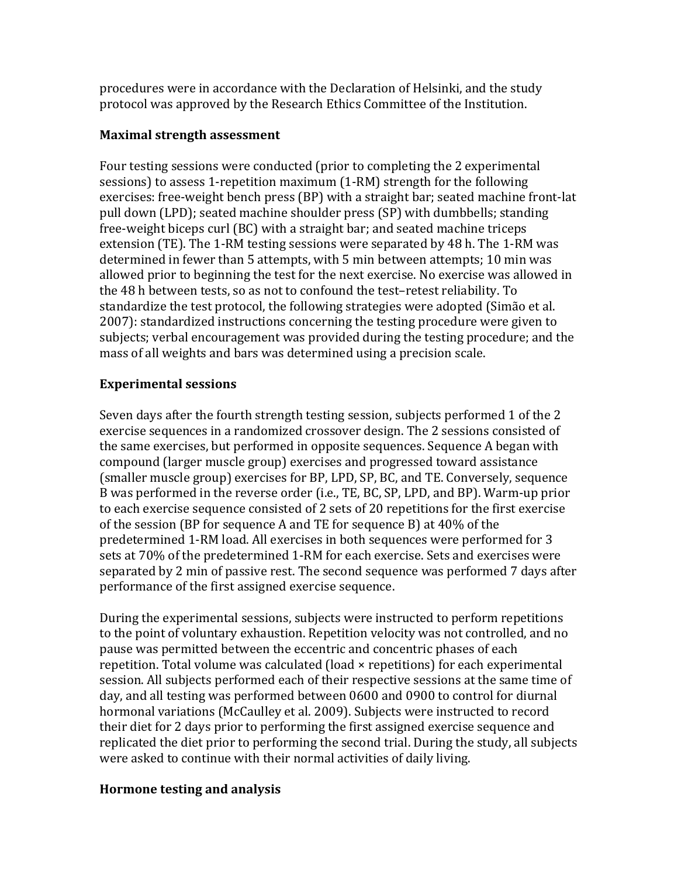procedures were in accordance with the Declaration of Helsinki, and the study protocol was approved by the Research Ethics Committee of the Institution.

## **Maximal strength assessment**

Four testing sessions were conducted (prior to completing the 2 experimental sessions) to assess 1-repetition maximum (1-RM) strength for the following exercises: free-weight bench press (BP) with a straight bar; seated machine front-lat pull down (LPD); seated machine shoulder press (SP) with dumbbells; standing free-weight biceps curl (BC) with a straight bar; and seated machine triceps extension (TE). The 1-RM testing sessions were separated by 48 h. The 1-RM was determined in fewer than 5 attempts, with 5 min between attempts; 10 min was allowed prior to beginning the test for the next exercise. No exercise was allowed in the 48 h between tests, so as not to confound the test-retest reliability. To standardize the test protocol, the following strategies were adopted (Simão et al. 2007): standardized instructions concerning the testing procedure were given to subjects; verbal encouragement was provided during the testing procedure; and the mass of all weights and bars was determined using a precision scale.

# **Experimental sessions**

Seven days after the fourth strength testing session, subjects performed 1 of the 2 exercise sequences in a randomized crossover design. The 2 sessions consisted of the same exercises, but performed in opposite sequences. Sequence A began with compound (larger muscle group) exercises and progressed toward assistance (smaller muscle group) exercises for BP, LPD, SP, BC, and TE. Conversely, sequence B was performed in the reverse order (i.e., TE, BC, SP, LPD, and BP). Warm-up prior to each exercise sequence consisted of 2 sets of 20 repetitions for the first exercise of the session (BP for sequence A and TE for sequence B) at  $40\%$  of the predetermined 1-RM load. All exercises in both sequences were performed for 3 sets at 70% of the predetermined 1-RM for each exercise. Sets and exercises were separated by 2 min of passive rest. The second sequence was performed 7 days after performance of the first assigned exercise sequence.

During the experimental sessions, subjects were instructed to perform repetitions to the point of voluntary exhaustion. Repetition velocity was not controlled, and no pause was permitted between the eccentric and concentric phases of each repetition. Total volume was calculated (load  $\times$  repetitions) for each experimental session. All subjects performed each of their respective sessions at the same time of day, and all testing was performed between 0600 and 0900 to control for diurnal hormonal variations (McCaulley et al. 2009). Subjects were instructed to record their diet for 2 days prior to performing the first assigned exercise sequence and replicated the diet prior to performing the second trial. During the study, all subjects were asked to continue with their normal activities of daily living.

#### **Hormone testing and analysis**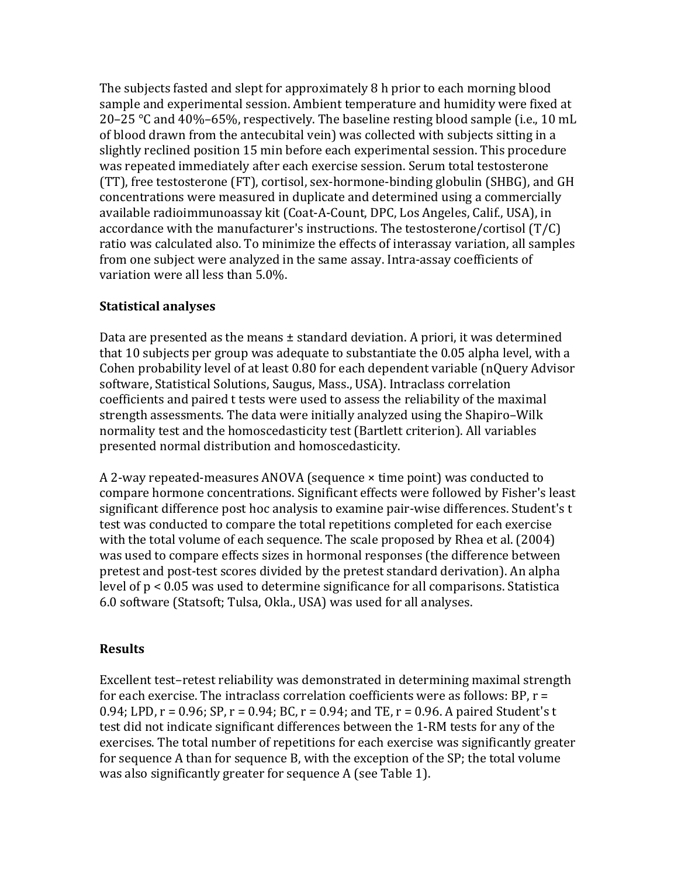The subjects fasted and slept for approximately 8 h prior to each morning blood sample and experimental session. Ambient temperature and humidity were fixed at 20–25 °C and  $40\%$ –65%, respectively. The baseline resting blood sample (i.e., 10 mL of blood drawn from the antecubital vein) was collected with subjects sitting in a slightly reclined position 15 min before each experimental session. This procedure was repeated immediately after each exercise session. Serum total testosterone (TT), free testosterone (FT), cortisol, sex-hormone-binding globulin (SHBG), and GH concentrations were measured in duplicate and determined using a commercially available radioimmunoassay kit (Coat-A-Count, DPC, Los Angeles, Calif., USA), in accordance with the manufacturer's instructions. The testosterone/cortisol  $(T/C)$ ratio was calculated also. To minimize the effects of interassay variation, all samples from one subject were analyzed in the same assay. Intra-assay coefficients of variation were all less than 5.0%.

### **Statistical analyses**

Data are presented as the means  $\pm$  standard deviation. A priori, it was determined that 10 subjects per group was adequate to substantiate the  $0.05$  alpha level, with a Cohen probability level of at least  $0.80$  for each dependent variable (nQuery Advisor software, Statistical Solutions, Saugus, Mass., USA). Intraclass correlation coefficients and paired t tests were used to assess the reliability of the maximal strength assessments. The data were initially analyzed using the Shapiro–Wilk normality test and the homoscedasticity test (Bartlett criterion). All variables presented normal distribution and homoscedasticity.

A 2-way repeated-measures ANOVA (sequence  $\times$  time point) was conducted to compare hormone concentrations. Significant effects were followed by Fisher's least significant difference post hoc analysis to examine pair-wise differences. Student's t test was conducted to compare the total repetitions completed for each exercise with the total volume of each sequence. The scale proposed by Rhea et al. (2004) was used to compare effects sizes in hormonal responses (the difference between pretest and post-test scores divided by the pretest standard derivation). An alpha level of  $p < 0.05$  was used to determine significance for all comparisons. Statistica 6.0 software (Statsoft; Tulsa, Okla., USA) was used for all analyses.

# **Results**

Excellent test-retest reliability was demonstrated in determining maximal strength for each exercise. The intraclass correlation coefficients were as follows:  $BP, r =$ 0.94; LPD,  $r = 0.96$ ; SP,  $r = 0.94$ ; BC,  $r = 0.94$ ; and TE,  $r = 0.96$ . A paired Student's t test did not indicate significant differences between the 1-RM tests for any of the exercises. The total number of repetitions for each exercise was significantly greater for sequence A than for sequence B, with the exception of the  $SP$ ; the total volume was also significantly greater for sequence A (see Table 1).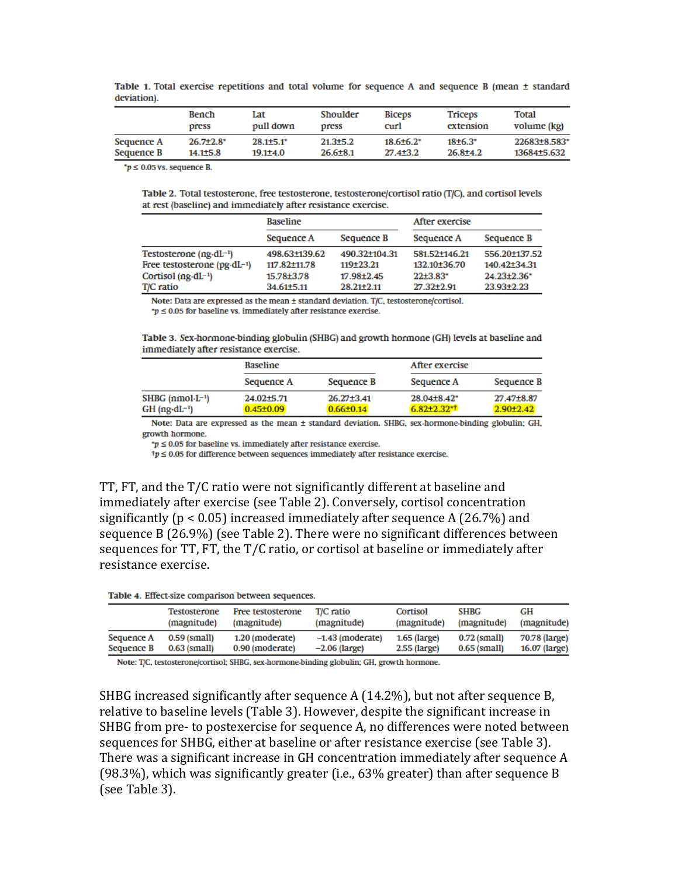|            | <b>Bench</b>     | Lat           | Shoulder     | <b>Biceps</b>    | Triceps      | Total        |
|------------|------------------|---------------|--------------|------------------|--------------|--------------|
|            | press            | pull down     | press        | curl             | extension    | volume (kg)  |
| Sequence A | $26.7{\pm}2.8^*$ | $28.1 + 5.1*$ | $21.3 + 5.2$ | $18.6 \pm 6.2^*$ | $18+6.3*$    | 22683+8.583* |
| Sequence B | 14.1±5.8         | $19.1 + 4.0$  | $26.6 + 8.1$ | $27.4 + 3.2$     | $26.8 + 4.2$ | 13684+5.632  |

Table 1. Total exercise repetitions and total volume for sequence A and sequence B (mean ± standard deviation)

 $^*p \leq 0.05$  vs. sequence B.

Table 2. Total testosterone, free testosterone, testosterone/cortisol ratio (T/C), and cortisol levels at rest (baseline) and immediately after resistance exercise.

|                                        | <b>Baseline</b> |                  | After exercise |                         |  |
|----------------------------------------|-----------------|------------------|----------------|-------------------------|--|
|                                        | Sequence A      | Sequence B       | Sequence A     | Sequence B              |  |
| Testosterone $(ng \cdot dL^{-1})$      | 498.63±139.62   | 490.32+104.31    | 581.52+146.21  | 556.20+137.52           |  |
| Free testosterone $(pg \cdot dL^{-1})$ | 117.82+11.78    | 119+23.21        | 132.10+36.70   | $140.42 \pm 34.31$      |  |
| Cortisol $(ng \cdot dL^{-1})$          | 15.78±3.78      | 17.98±2.45       | $22+3.83*$     | $24.23 \pm 2.36^*$      |  |
| T/C ratio                              | 34.61±5.11      | $28.21 \pm 2.11$ | 27.32±2.91     | 23.93 <sup>+</sup> 2.23 |  |

Note: Data are expressed as the mean ± standard deviation. T/C, testosterone/cortisol.

 $p \leq 0.05$  for baseline vs. immediately after resistance exercise.

Table 3. Sex-hormone-binding globulin (SHBG) and growth hormone (GH) levels at baseline and immediately after resistance exercise.

|                                                         | <b>Baseline</b>                           |                                     | After exercise                         |                                          |  |
|---------------------------------------------------------|-------------------------------------------|-------------------------------------|----------------------------------------|------------------------------------------|--|
|                                                         | Sequence A                                | Sequence B                          | Sequence A                             | Sequence B                               |  |
| $SHBG$ (nmol $-L^{-1}$ )<br>$GH$ (ng-dL <sup>-1</sup> ) | 24.02 <sup>+5.71</sup><br>$0.45 \pm 0.09$ | $26.27 \pm 3.41$<br>$0.66 \pm 0.14$ | $28.04 \pm 8.42^*$<br>$6.82 + 2.32$ ** | 27.47 <sup>+</sup> 8.87<br>$2.90 + 2.42$ |  |

Note: Data are expressed as the mean ± standard deviation. SHBG, sex-hormone-binding globulin; GH, growth hormone.

 $\mu > 0.05$  for baseline vs. immediately after resistance exercise.

 $\uparrow p \leq 0.05$  for difference between sequences immediately after resistance exercise.

TT,  $FT$ , and the  $T/C$  ratio were not significantly different at baseline and immediately after exercise (see Table 2). Conversely, cortisol concentration significantly ( $p < 0.05$ ) increased immediately after sequence A (26.7%) and sequence  $B(26.9\%)$  (see Table 2). There were no significant differences between sequences for TT, FT, the T/C ratio, or cortisol at baseline or immediately after resistance exercise.

| Table 4. Effect-size comparison between sequences. |  |  |
|----------------------------------------------------|--|--|
|----------------------------------------------------|--|--|

|            | <b>Testosterone</b> | Free testosterone | T/C ratio          | Cortisol       | <b>SHBG</b>    | GH            |
|------------|---------------------|-------------------|--------------------|----------------|----------------|---------------|
|            | (magnitude)         | (magnitude)       | (magnitude)        | (magnitude)    | (magnitude)    | (magnitude)   |
| Sequence A | $0.59$ (small)      | 1.20 (moderate)   | $-1.43$ (moderate) | $1.65$ (large) | $0.72$ (small) | 70.78 (large) |
| Sequence B | $0.63$ (small)      | 0.90 (moderate)   | $-2.06$ (large)    | $2.55$ (large) | $0.65$ (small) | 16.07 (large) |

Note: T/C, testosterone/cortisol; SHBG, sex-hormone-binding globulin; GH, growth hormone.

SHBG increased significantly after sequence A  $(14.2\%)$ , but not after sequence B, relative to baseline levels (Table 3). However, despite the significant increase in SHBG from pre- to postexercise for sequence A, no differences were noted between sequences for SHBG, either at baseline or after resistance exercise (see Table 3). There was a significant increase in GH concentration immediately after sequence A (98.3%), which was significantly greater (i.e.,  $63\%$  greater) than after sequence B (see Table 3).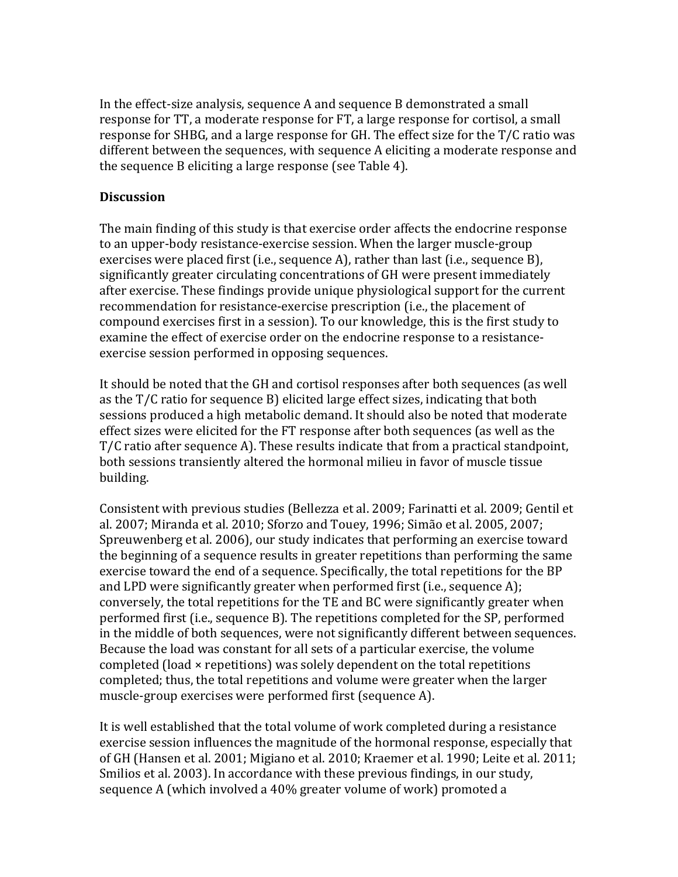In the effect-size analysis, sequence A and sequence B demonstrated a small response for TT, a moderate response for FT, a large response for cortisol, a small response for SHBG, and a large response for GH. The effect size for the  $T/C$  ratio was different between the sequences, with sequence A eliciting a moderate response and the sequence B eliciting a large response (see Table 4).

#### **Discussion**

The main finding of this study is that exercise order affects the endocrine response to an upper-body resistance-exercise session. When the larger muscle-group exercises were placed first  $(i.e., sequence A)$ , rather than last  $(i.e., sequence B)$ , significantly greater circulating concentrations of GH were present immediately after exercise. These findings provide unique physiological support for the current recommendation for resistance-exercise prescription (i.e., the placement of compound exercises first in a session). To our knowledge, this is the first study to examine the effect of exercise order on the endocrine response to a resistanceexercise session performed in opposing sequences.

It should be noted that the GH and cortisol responses after both sequences (as well as the  $T/C$  ratio for sequence B) elicited large effect sizes, indicating that both sessions produced a high metabolic demand. It should also be noted that moderate effect sizes were elicited for the FT response after both sequences (as well as the T/C ratio after sequence A). These results indicate that from a practical standpoint, both sessions transiently altered the hormonal milieu in favor of muscle tissue building.

Consistent with previous studies (Bellezza et al. 2009; Farinatti et al. 2009; Gentil et al. 2007; Miranda et al. 2010; Sforzo and Touey, 1996; Simão et al. 2005, 2007; Spreuwenberg et al. 2006), our study indicates that performing an exercise toward the beginning of a sequence results in greater repetitions than performing the same exercise toward the end of a sequence. Specifically, the total repetitions for the BP and LPD were significantly greater when performed first (i.e., sequence A); conversely, the total repetitions for the TE and BC were significantly greater when performed first (i.e., sequence B). The repetitions completed for the SP, performed in the middle of both sequences, were not significantly different between sequences. Because the load was constant for all sets of a particular exercise, the volume completed (load  $\times$  repetitions) was solely dependent on the total repetitions completed; thus, the total repetitions and volume were greater when the larger muscle-group exercises were performed first (sequence A).

It is well established that the total volume of work completed during a resistance exercise session influences the magnitude of the hormonal response, especially that of GH (Hansen et al. 2001; Migiano et al. 2010; Kraemer et al. 1990; Leite et al. 2011; Smilios et al. 2003). In accordance with these previous findings, in our study, sequence A (which involved a 40% greater volume of work) promoted a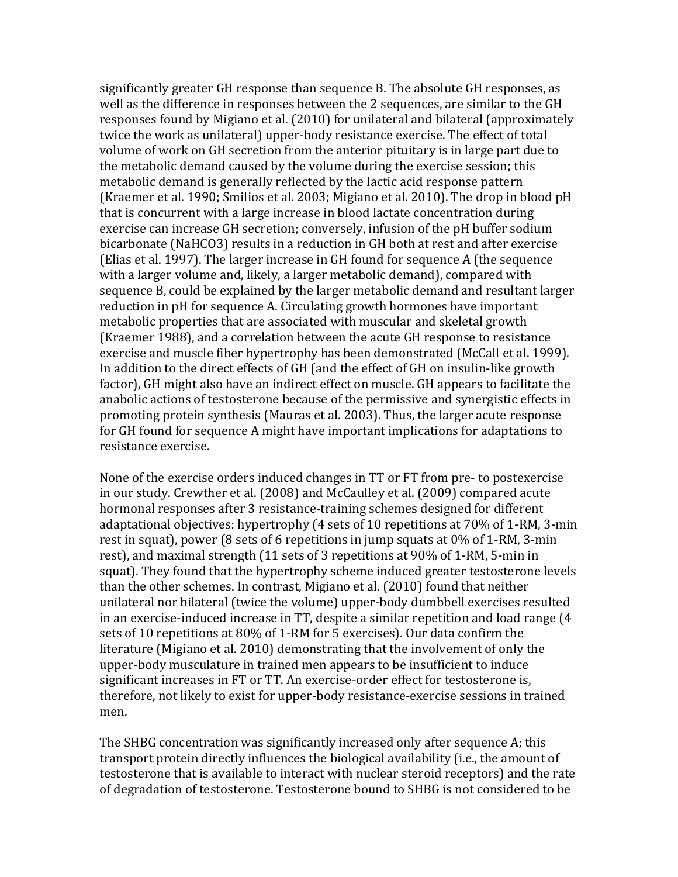significantly greater GH response than sequence B. The absolute GH responses, as well as the difference in responses between the 2 sequences, are similar to the GH responses found by Migiano et al. (2010) for unilateral and bilateral (approximately twice the work as unilateral) upper-body resistance exercise. The effect of total volume of work on GH secretion from the anterior pituitary is in large part due to the metabolic demand caused by the volume during the exercise session; this metabolic demand is generally reflected by the lactic acid response pattern (Kraemer et al. 1990; Smilios et al. 2003; Migiano et al. 2010). The drop in blood pH that is concurrent with a large increase in blood lactate concentration during exercise can increase GH secretion; conversely, infusion of the pH buffer sodium bicarbonate (NaHCO3) results in a reduction in GH both at rest and after exercise (Elias et al. 1997). The larger increase in GH found for sequence A (the sequence with a larger volume and, likely, a larger metabolic demand), compared with sequence B, could be explained by the larger metabolic demand and resultant larger reduction in pH for sequence A. Circulating growth hormones have important metabolic properties that are associated with muscular and skeletal growth (Kraemer 1988), and a correlation between the acute GH response to resistance exercise and muscle fiber hypertrophy has been demonstrated (McCall et al. 1999). In addition to the direct effects of GH (and the effect of GH on insulin-like growth factor), GH might also have an indirect effect on muscle. GH appears to facilitate the anabolic actions of testosterone because of the permissive and synergistic effects in promoting protein synthesis (Mauras et al. 2003). Thus, the larger acute response for GH found for sequence A might have important implications for adaptations to resistance exercise.

None of the exercise orders induced changes in TT or FT from pre- to postexercise in our study. Crewther et al. (2008) and McCaulley et al. (2009) compared acute hormonal responses after 3 resistance-training schemes designed for different adaptational objectives: hypertrophy  $(4 \text{ sets of } 10 \text{ repetitions at } 70\% \text{ of } 1\text{-RM}, 3\text{-min}$ rest in squat), power (8 sets of 6 repetitions in jump squats at  $0\%$  of 1-RM, 3-min rest), and maximal strength  $(11 \text{ sets of } 3 \text{ repetitions at } 90\% \text{ of } 1\text{-RM}, 5\text{-min in}$ squat). They found that the hypertrophy scheme induced greater testosterone levels than the other schemes. In contrast, Migiano et al.  $(2010)$  found that neither unilateral nor bilateral (twice the volume) upper-body dumbbell exercises resulted in an exercise-induced increase in TT, despite a similar repetition and load range  $(4)$ sets of 10 repetitions at 80% of 1-RM for 5 exercises). Our data confirm the literature (Migiano et al. 2010) demonstrating that the involvement of only the upper-body musculature in trained men appears to be insufficient to induce significant increases in FT or TT. An exercise-order effect for testosterone is, therefore, not likely to exist for upper-body resistance-exercise sessions in trained men.

The SHBG concentration was significantly increased only after sequence A; this transport protein directly influences the biological availability (i.e., the amount of testosterone that is available to interact with nuclear steroid receptors) and the rate of degradation of testosterone. Testosterone bound to SHBG is not considered to be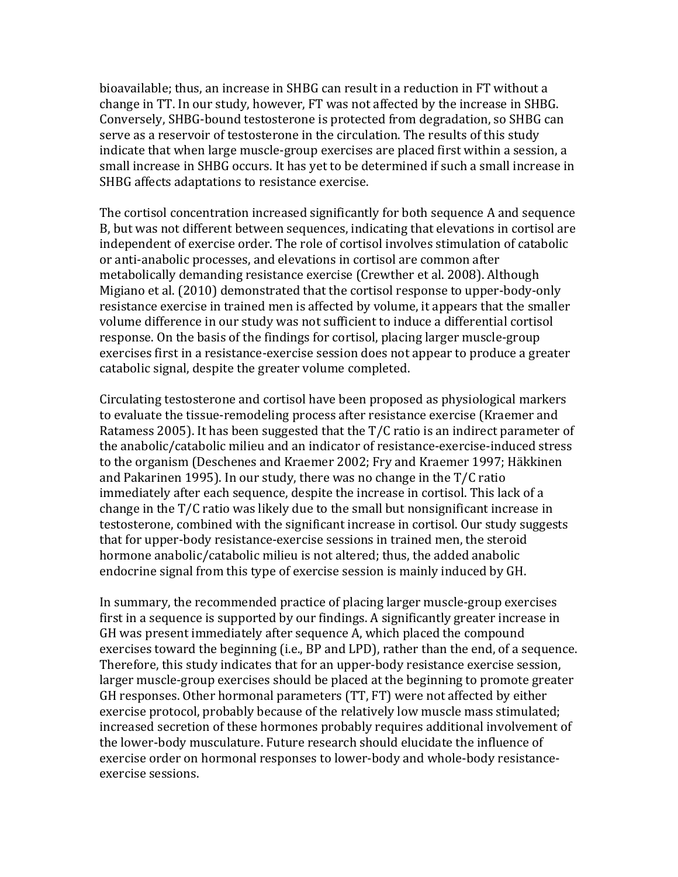bioavailable; thus, an increase in SHBG can result in a reduction in FT without a change in TT. In our study, however, FT was not affected by the increase in SHBG. Conversely, SHBG-bound testosterone is protected from degradation, so SHBG can serve as a reservoir of testosterone in the circulation. The results of this study indicate that when large muscle-group exercises are placed first within a session, a small increase in SHBG occurs. It has yet to be determined if such a small increase in SHBG affects adaptations to resistance exercise.

The cortisol concentration increased significantly for both sequence A and sequence B, but was not different between sequences, indicating that elevations in cortisol are independent of exercise order. The role of cortisol involves stimulation of catabolic or anti-anabolic processes, and elevations in cortisol are common after metabolically demanding resistance exercise (Crewther et al. 2008). Although Migiano et al. (2010) demonstrated that the cortisol response to upper-body-only resistance exercise in trained men is affected by volume, it appears that the smaller volume difference in our study was not sufficient to induce a differential cortisol response. On the basis of the findings for cortisol, placing larger muscle-group exercises first in a resistance-exercise session does not appear to produce a greater catabolic signal, despite the greater volume completed.

Circulating testosterone and cortisol have been proposed as physiological markers to evaluate the tissue-remodeling process after resistance exercise (Kraemer and Ratamess 2005). It has been suggested that the  $T/C$  ratio is an indirect parameter of the anabolic/catabolic milieu and an indicator of resistance-exercise-induced stress to the organism (Deschenes and Kraemer 2002; Fry and Kraemer 1997; Häkkinen and Pakarinen 1995). In our study, there was no change in the  $T/C$  ratio immediately after each sequence, despite the increase in cortisol. This lack of a change in the  $T/C$  ratio was likely due to the small but nonsignificant increase in testosterone, combined with the significant increase in cortisol. Our study suggests that for upper-body resistance-exercise sessions in trained men, the steroid hormone anabolic/catabolic milieu is not altered; thus, the added anabolic endocrine signal from this type of exercise session is mainly induced by GH.

In summary, the recommended practice of placing larger muscle-group exercises first in a sequence is supported by our findings. A significantly greater increase in GH was present immediately after sequence A, which placed the compound exercises toward the beginning (i.e., BP and LPD), rather than the end, of a sequence. Therefore, this study indicates that for an upper-body resistance exercise session, larger muscle-group exercises should be placed at the beginning to promote greater GH responses. Other hormonal parameters (TT, FT) were not affected by either exercise protocol, probably because of the relatively low muscle mass stimulated; increased secretion of these hormones probably requires additional involvement of the lower-body musculature. Future research should elucidate the influence of exercise order on hormonal responses to lower-body and whole-body resistanceexercise sessions.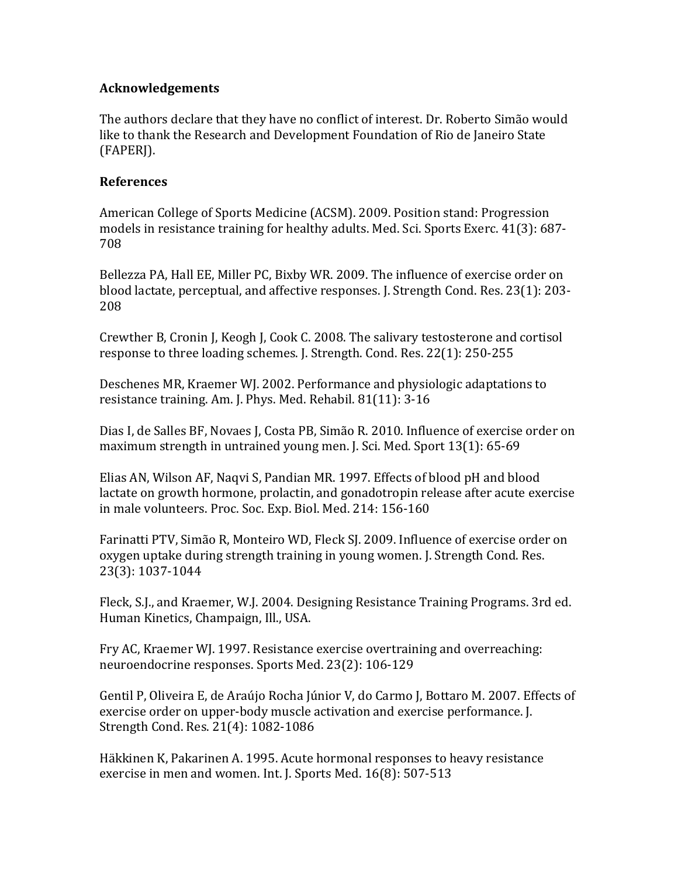#### **Acknowledgements**

The authors declare that they have no conflict of interest. Dr. Roberto Simão would like to thank the Research and Development Foundation of Rio de Janeiro State (FAPERJ).

### **References**

American College of Sports Medicine (ACSM). 2009. Position stand: Progression models in resistance training for healthy adults. Med. Sci. Sports Exerc. 41(3): 687-708 

Bellezza PA, Hall EE, Miller PC, Bixby WR. 2009. The influence of exercise order on blood lactate, perceptual, and affective responses. J. Strength Cond. Res. 23(1): 203-208 

Crewther B, Cronin J, Keogh J, Cook C. 2008. The salivary testosterone and cortisol response to three loading schemes. J. Strength. Cond. Res. 22(1): 250-255

Deschenes MR, Kraemer WJ. 2002. Performance and physiologic adaptations to resistance training. Am. J. Phys. Med. Rehabil. 81(11): 3-16

Dias I, de Salles BF, Novaes J, Costa PB, Simão R. 2010. Influence of exercise order on maximum strength in untrained young men. J. Sci. Med. Sport  $13(1)$ : 65-69

Elias AN, Wilson AF, Naqvi S, Pandian MR. 1997. Effects of blood pH and blood lactate on growth hormone, prolactin, and gonadotropin release after acute exercise in male volunteers. Proc. Soc. Exp. Biol. Med. 214: 156-160

Farinatti PTV, Simão R, Monteiro WD, Fleck SJ. 2009. Influence of exercise order on oxygen uptake during strength training in young women. J. Strength Cond. Res. 23(3): 1037-1044 

Fleck, S.J., and Kraemer, W.J. 2004. Designing Resistance Training Programs. 3rd ed. Human Kinetics, Champaign, Ill., USA.

Fry AC, Kraemer WJ. 1997. Resistance exercise overtraining and overreaching: neuroendocrine responses. Sports Med. 23(2): 106-129

Gentil P, Oliveira E, de Araújo Rocha Júnior V, do Carmo J, Bottaro M. 2007. Effects of exercise order on upper-body muscle activation and exercise performance. [. Strength Cond. Res. 21(4): 1082-1086

Häkkinen K, Pakarinen A. 1995. Acute hormonal responses to heavy resistance exercise in men and women. Int. J. Sports Med.  $16(8)$ : 507-513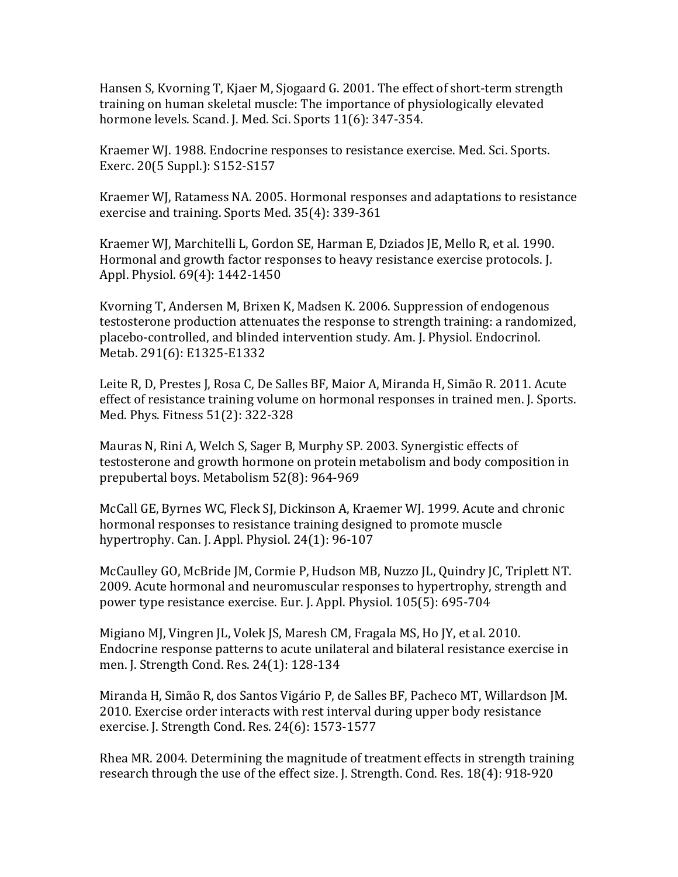Hansen S, Kyorning T, Kjaer M, Sjogaard G. 2001. The effect of short-term strength training on human skeletal muscle: The importance of physiologically elevated hormone levels. Scand. J. Med. Sci. Sports 11(6): 347-354.

Kraemer WJ. 1988. Endocrine responses to resistance exercise. Med. Sci. Sports. Exerc. 20(5 Suppl.): S152-S157

Kraemer WJ, Ratamess NA. 2005. Hormonal responses and adaptations to resistance exercise and training. Sports Med. 35(4): 339-361

Kraemer WJ, Marchitelli L, Gordon SE, Harman E, Dziados JE, Mello R, et al. 1990. Hormonal and growth factor responses to heavy resistance exercise protocols. [. Appl. Physiol. 69(4): 1442-1450

Kvorning T, Andersen M, Brixen K, Madsen K. 2006. Suppression of endogenous testosterone production attenuates the response to strength training: a randomized, placebo-controlled, and blinded intervention study. Am. J. Physiol. Endocrinol. Metab. 291(6): E1325-E1332

Leite R, D, Prestes J, Rosa C, De Salles BF, Maior A, Miranda H, Simão R. 2011. Acute effect of resistance training volume on hormonal responses in trained men. I. Sports. Med. Phys. Fitness 51(2): 322-328

Mauras N, Rini A, Welch S, Sager B, Murphy SP. 2003. Synergistic effects of testosterone and growth hormone on protein metabolism and body composition in prepubertal boys. Metabolism 52(8): 964-969

McCall GE, Byrnes WC, Fleck SJ, Dickinson A, Kraemer WJ. 1999. Acute and chronic hormonal responses to resistance training designed to promote muscle hypertrophy. Can. J. Appl. Physiol.  $24(1)$ :  $96-107$ 

McCaulley GO, McBride JM, Cormie P, Hudson MB, Nuzzo JL, Quindry JC, Triplett NT. 2009. Acute hormonal and neuromuscular responses to hypertrophy, strength and power type resistance exercise. Eur. J. Appl. Physiol. 105(5): 695-704

Migiano MJ, Vingren JL, Volek JS, Maresh CM, Fragala MS, Ho JY, et al. 2010. Endocrine response patterns to acute unilateral and bilateral resistance exercise in men. J. Strength Cond. Res. 24(1): 128-134

Miranda H, Simão R, dos Santos Vigário P, de Salles BF, Pacheco MT, Willardson JM. 2010. Exercise order interacts with rest interval during upper body resistance exercise. J. Strength Cond. Res. 24(6): 1573-1577

Rhea MR. 2004. Determining the magnitude of treatment effects in strength training research through the use of the effect size. J. Strength. Cond. Res. 18(4): 918-920